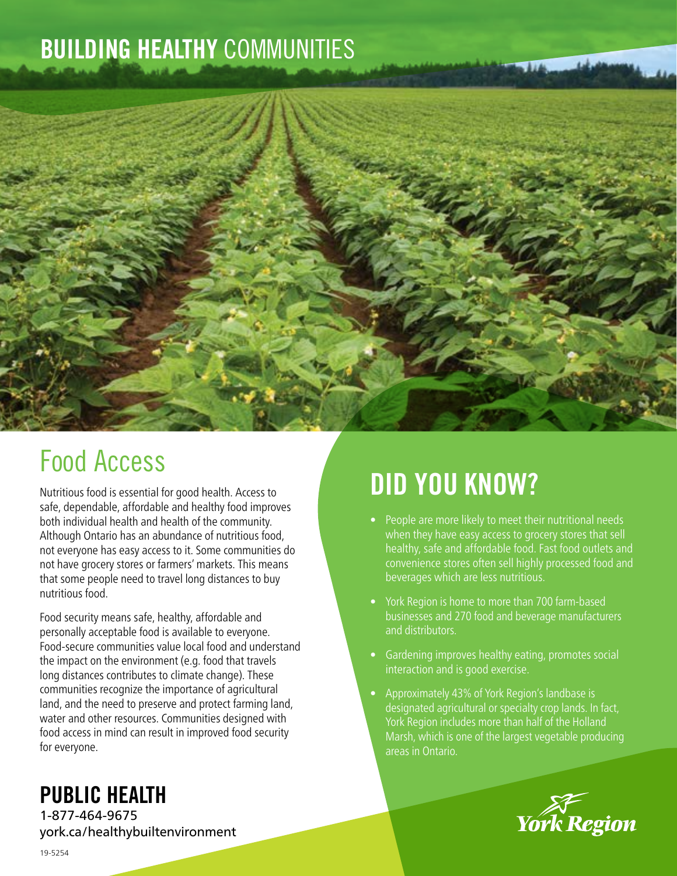## BUILDING HEALTHY COMMUNITIES



## Food Access

Nutritious food is essential for good health. Access to safe, dependable, affordable and healthy food improves both individual health and health of the community. Although Ontario has an abundance of nutritious food, not everyone has easy access to it. Some communities do not have grocery stores or farmers' markets. This means that some people need to travel long distances to buy nutritious food.

Food security means safe, healthy, affordable and personally acceptable food is available to everyone. Food-secure communities value local food and understand the impact on the environment (e.g. food that travels long distances contributes to climate change). These communities recognize the importance of agricultural land, and the need to preserve and protect farming land, water and other resources. Communities designed with food access in mind can result in improved food security for everyone.

# DID YOU KNOW?

- People are more likely to meet their nutritional needs when they have easy access to grocery stores that sell healthy, safe and affordable food. Fast food outlets and convenience stores often sell highly processed food and beverages which are less nutritious.
- York Region is home to more than 700 farm-based businesses and 270 food and beverage manufacturers and distributors.
- Gardening improves healthy eating, promotes social interaction and is good exercise.
- Approximately 43% of York Region's landbase is designated agricultural or specialty crop lands. In fact, York Region includes more than half of the Holland Marsh, which is one of the largest vegetable producing areas in Ontario.



### PUBLIC HEALTH

1-877-464-9675 york.ca/healthybuiltenvironment